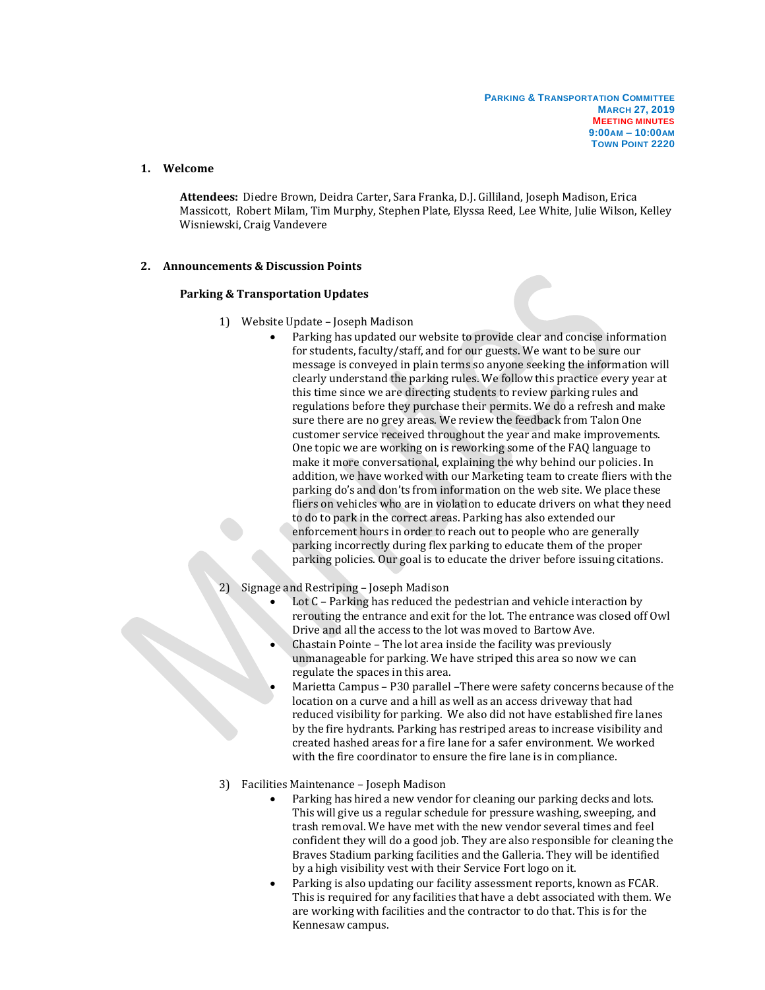## **1. Welcome**

**Attendees:** Diedre Brown, Deidra Carter, Sara Franka, D.J. Gilliland, Joseph Madison, Erica Massicott, Robert Milam, Tim Murphy, Stephen Plate, Elyssa Reed, Lee White, Julie Wilson, Kelley Wisniewski, Craig Vandevere

## **2. Announcements & Discussion Points**

## **Parking & Transportation Updates**

- 1) Website Update Joseph Madison
	- Parking has updated our website to provide clear and concise information for students, faculty/staff, and for our guests. We want to be sure our message is conveyed in plain terms so anyone seeking the information will clearly understand the parking rules. We follow this practice every year at this time since we are directing students to review parking rules and regulations before they purchase their permits. We do a refresh and make sure there are no grey areas. We review the feedback from Talon One customer service received throughout the year and make improvements. One topic we are working on is reworking some of the FAQ language to make it more conversational, explaining the why behind our policies. In addition, we have worked with our Marketing team to create fliers with the parking do's and don'ts from information on the web site. We place these fliers on vehicles who are in violation to educate drivers on what they need to do to park in the correct areas. Parking has also extended our enforcement hours in order to reach out to people who are generally parking incorrectly during flex parking to educate them of the proper parking policies. Our goal is to educate the driver before issuing citations.
- 2) Signage and Restriping Joseph Madison
	- Lot C Parking has reduced the pedestrian and vehicle interaction by rerouting the entrance and exit for the lot. The entrance was closed off Owl Drive and all the access to the lot was moved to Bartow Ave.
	- Chastain Pointe The lot area inside the facility was previously unmanageable for parking. We have striped this area so now we can regulate the spaces in this area.
	- Marietta Campus P30 parallel –There were safety concerns because of the location on a curve and a hill as well as an access driveway that had reduced visibility for parking. We also did not have established fire lanes by the fire hydrants. Parking has restriped areas to increase visibility and created hashed areas for a fire lane for a safer environment. We worked with the fire coordinator to ensure the fire lane is in compliance.
- 3) Facilities Maintenance Joseph Madison
	- Parking has hired a new vendor for cleaning our parking decks and lots. This will give us a regular schedule for pressure washing, sweeping, and trash removal. We have met with the new vendor several times and feel confident they will do a good job. They are also responsible for cleaning the Braves Stadium parking facilities and the Galleria. They will be identified by a high visibility vest with their Service Fort logo on it.
	- Parking is also updating our facility assessment reports, known as FCAR. This is required for any facilities that have a debt associated with them. We are working with facilities and the contractor to do that. This is for the Kennesaw campus.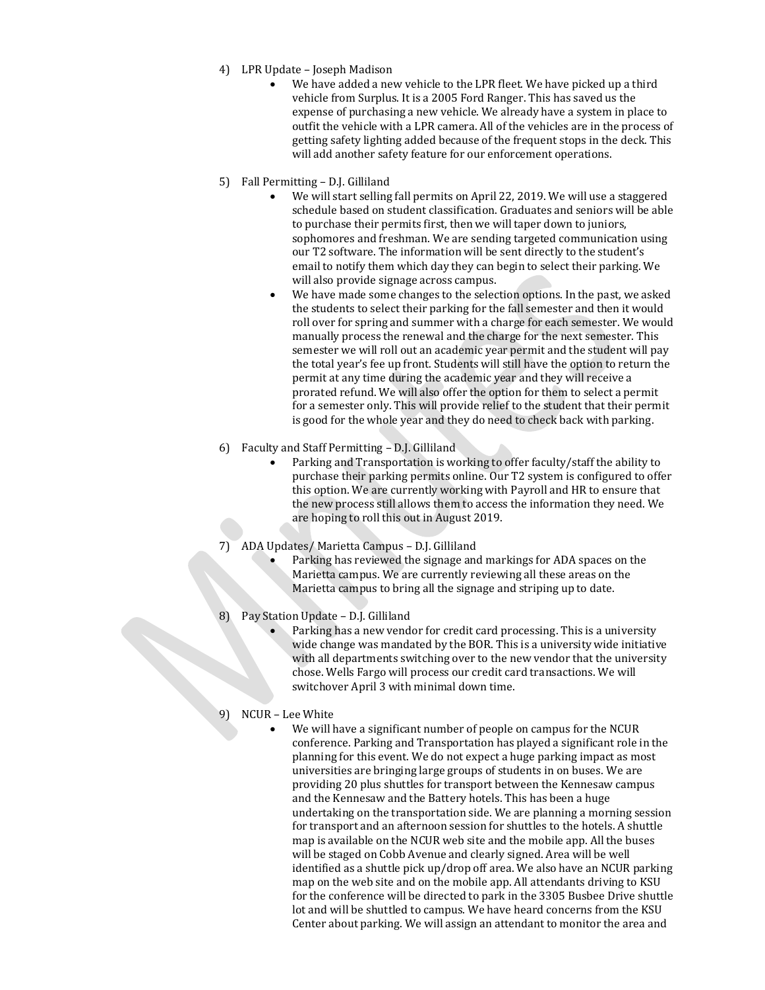- 4) LPR Update Joseph Madison
	- We have added a new vehicle to the LPR fleet. We have picked up a third vehicle from Surplus. It is a 2005 Ford Ranger. This has saved us the expense of purchasing a new vehicle. We already have a system in place to outfit the vehicle with a LPR camera. All of the vehicles are in the process of getting safety lighting added because of the frequent stops in the deck. This will add another safety feature for our enforcement operations.
- 5) Fall Permitting D.J. Gilliland
	- We will start selling fall permits on April 22, 2019. We will use a staggered schedule based on student classification. Graduates and seniors will be able to purchase their permits first, then we will taper down to juniors, sophomores and freshman. We are sending targeted communication using our T2 software. The information will be sent directly to the student's email to notify them which day they can begin to select their parking. We will also provide signage across campus.
	- We have made some changes to the selection options. In the past, we asked the students to select their parking for the fall semester and then it would roll over for spring and summer with a charge for each semester. We would manually process the renewal and the charge for the next semester. This semester we will roll out an academic year permit and the student will pay the total year's fee up front. Students will still have the option to return the permit at any time during the academic year and they will receive a prorated refund. We will also offer the option for them to select a permit for a semester only. This will provide relief to the student that their permit is good for the whole year and they do need to check back with parking.
- 6) Faculty and Staff Permitting D.J. Gilliland
	- Parking and Transportation is working to offer faculty/staff the ability to purchase their parking permits online. Our T2 system is configured to offer this option. We are currently working with Payroll and HR to ensure that the new process still allows them to access the information they need. We are hoping to roll this out in August 2019.
- 7) ADA Updates/ Marietta Campus D.J. Gilliland
	- Parking has reviewed the signage and markings for ADA spaces on the Marietta campus. We are currently reviewing all these areas on the Marietta campus to bring all the signage and striping up to date.
- Pay Station Update D.J. Gilliland
	- Parking has a new vendor for credit card processing. This is a university wide change was mandated by the BOR. This is a university wide initiative with all departments switching over to the new vendor that the university chose. Wells Fargo will process our credit card transactions. We will switchover April 3 with minimal down time.
- 9) NCUR Lee White
	- We will have a significant number of people on campus for the NCUR conference. Parking and Transportation has played a significant role in the planning for this event. We do not expect a huge parking impact as most universities are bringing large groups of students in on buses. We are providing 20 plus shuttles for transport between the Kennesaw campus and the Kennesaw and the Battery hotels. This has been a huge undertaking on the transportation side. We are planning a morning session for transport and an afternoon session for shuttles to the hotels. A shuttle map is available on the NCUR web site and the mobile app. All the buses will be staged on Cobb Avenue and clearly signed. Area will be well identified as a shuttle pick up/drop off area. We also have an NCUR parking map on the web site and on the mobile app. All attendants driving to KSU for the conference will be directed to park in the 3305 Busbee Drive shuttle lot and will be shuttled to campus. We have heard concerns from the KSU Center about parking. We will assign an attendant to monitor the area and